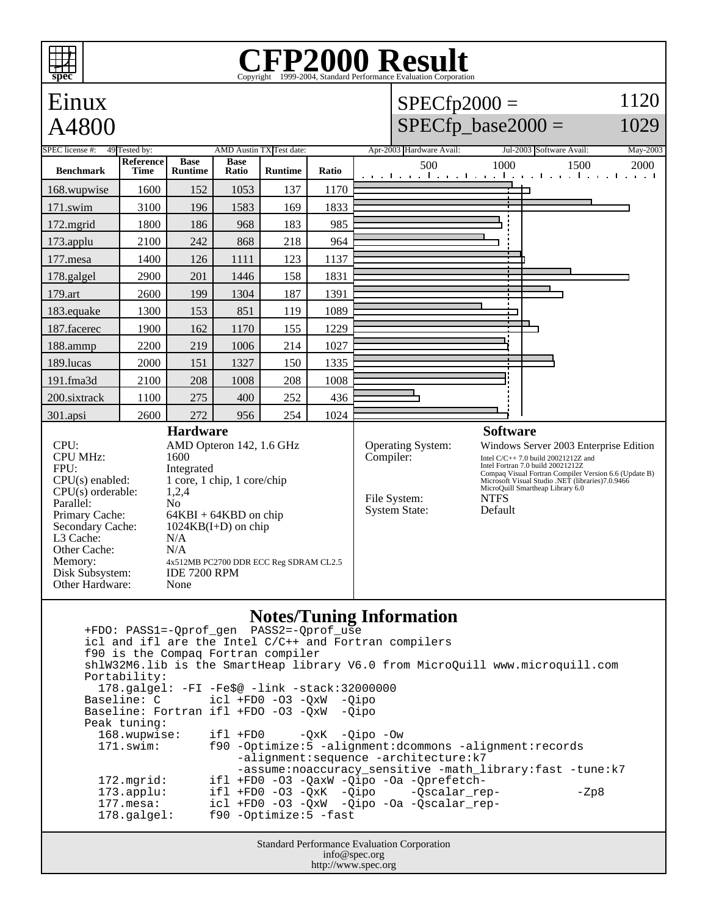## **CFP2000 Result** Copyright  $©1999-2004$ , Standard P



Standard Performance Evaluation Corporation info@spec.org http://www.spec.org

177.mesa: icl +FD0 -O3 -QxW -Qipo -Oa -Qscalar\_rep-

178.galgel: f90 -Optimize:5 -fast

**spec**